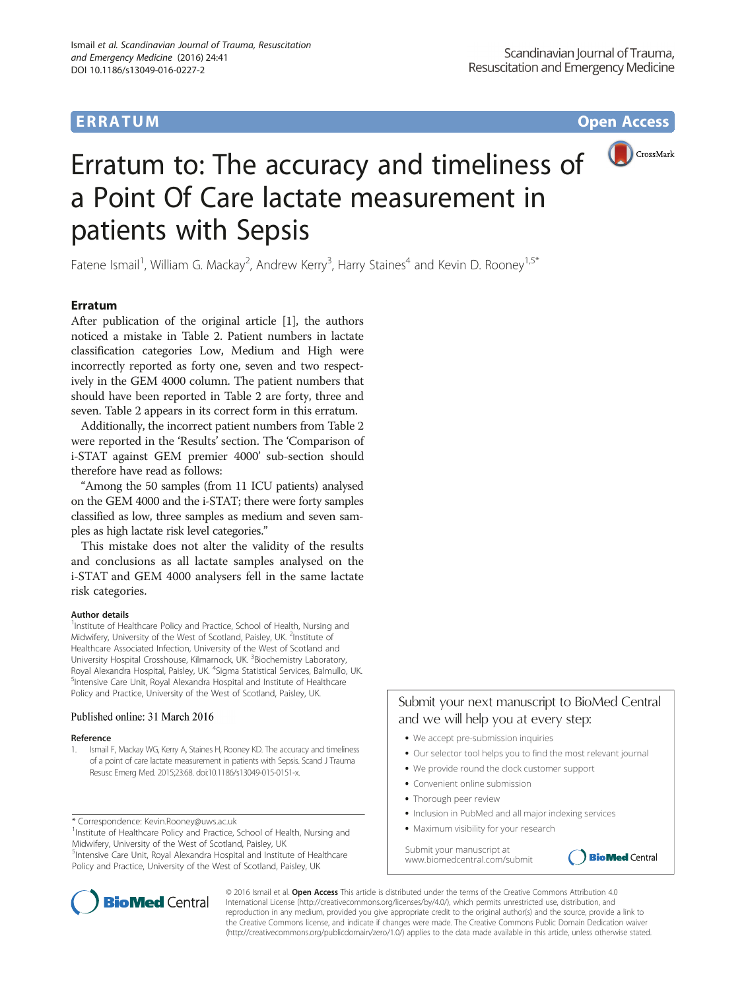## **ERRATUM ERRATUM CONSUMING ACCESS**



# Erratum to: The accuracy and timeliness of a Point Of Care lactate measurement in patients with Sepsis

Fatene Ismail<sup>1</sup>, William G. Mackay<sup>2</sup>, Andrew Kerry<sup>3</sup>, Harry Staines<sup>4</sup> and Kevin D. Rooney<sup>1,5\*</sup>

### Erratum

After publication of the original article [1], the authors noticed a mistake in Table [2.](#page-1-0) Patient numbers in lactate classification categories Low, Medium and High were incorrectly reported as forty one, seven and two respectively in the GEM 4000 column. The patient numbers that should have been reported in Table [2](#page-1-0) are forty, three and seven. Table [2](#page-1-0) appears in its correct form in this erratum.

Additionally, the incorrect patient numbers from Table [2](#page-1-0) were reported in the 'Results' section. The 'Comparison of i-STAT against GEM premier 4000' sub-section should therefore have read as follows:

"Among the 50 samples (from 11 ICU patients) analysed on the GEM 4000 and the i-STAT; there were forty samples classified as low, three samples as medium and seven samples as high lactate risk level categories."

This mistake does not alter the validity of the results and conclusions as all lactate samples analysed on the i-STAT and GEM 4000 analysers fell in the same lactate risk categories.

#### Author details

<sup>1</sup>Institute of Healthcare Policy and Practice, School of Health, Nursing and Midwifery, University of the West of Scotland, Paisley, UK. <sup>2</sup>Institute of Healthcare Associated Infection, University of the West of Scotland and University Hospital Crosshouse, Kilmarnock, UK. <sup>3</sup>Biochemistry Laboratory, Royal Alexandra Hospital, Paisley, UK. <sup>4</sup>Sigma Statistical Services, Balmullo, UK.<br><sup>S</sup>intensive Care Unit Royal Alexandra Hospital and Institute of Hoalthcare. <sup>5</sup>Intensive Care Unit, Royal Alexandra Hospital and Institute of Healthcare Policy and Practice, University of the West of Scotland, Paisley, UK.

#### Published online: 31 March 2016

#### Reference

1. Ismail F, Mackay WG, Kerry A, Staines H, Rooney KD. The accuracy and timeliness of a point of care lactate measurement in patients with Sepsis. Scand J Trauma Resusc Emerg Med. 2015;23:68. doi[:10.1186/s13049-015-0151-x](http://dx.doi.org/10.1186/s13049-015-0151-x).

\* Correspondence: [Kevin.Rooney@uws.ac.uk](mailto:Kevin.Rooney@uws.ac.uk) <sup>1</sup>

<sup>1</sup>Institute of Healthcare Policy and Practice, School of Health, Nursing and Midwifery, University of the West of Scotland, Paisley, UK

<sup>5</sup>Intensive Care Unit, Royal Alexandra Hospital and Institute of Healthcare Policy and Practice, University of the West of Scotland, Paisley, UK



- **•** We accept pre-submission inquiries
- **•** Our selector tool helps you to find the most relevant journal

**BioMed** Central

- We provide round the clock customer support
- Convenient online submission
- **•** Thorough peer review
- Inclusion in PubMed and all major indexing services
- **•** Maximum visibility for your research

Submit your manuscript at www.biomedcentral.com/submit



© 2016 Ismail et al. Open Access This article is distributed under the terms of the Creative Commons Attribution 4.0 International License [\(http://creativecommons.org/licenses/by/4.0/](http://creativecommons.org/licenses/by/4.0/)), which permits unrestricted use, distribution, and reproduction in any medium, provided you give appropriate credit to the original author(s) and the source, provide a link to the Creative Commons license, and indicate if changes were made. The Creative Commons Public Domain Dedication waiver [\(http://creativecommons.org/publicdomain/zero/1.0/](http://creativecommons.org/publicdomain/zero/1.0/)) applies to the data made available in this article, unless otherwise stated.